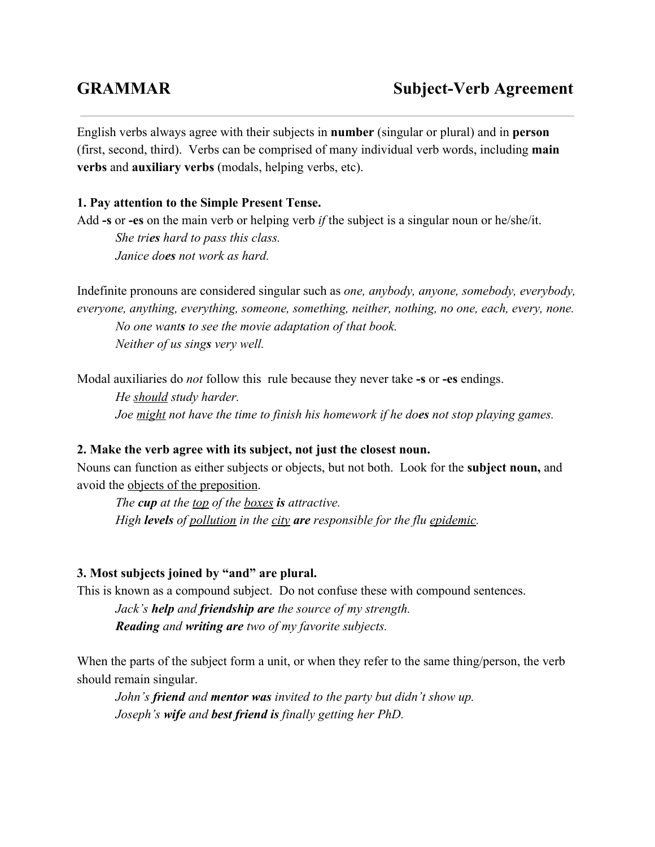English verbs always agree with their subjects in **number** (singular or plural) and in **person** (first, second, third). Verbs can be comprised of many individual verb words, including **main verbs**and **auxiliary verbs**(modals, helping verbs, etc).

## **1. Pay attention to the Simple Present Tense.**

Add **s**or **es**on the main verb or helping verb *if* the subject is a singular noun or he/she/it.

*She trieshard to pass this class. Janice doesnot work as hard.*

Indefinite pronouns are considered singular such as *one, anybody, anyone, somebody, everybody, everyone, anything, everything, someone, something, neither, nothing, no one, each, every, none. No one wantsto see the movie adaptation of that book. Neither of us singsvery well.*

Modal auxiliaries do *not* follow this rule because they never take -s or -es endings.

*He should study harder. Joe might not have the time to finish his homework if he doesnot stop playing games.*

### **2. Make the verb agree with its subject, not just the closest noun.**

Nouns can function as either subjects or objects, but not both. Look for the **subject noun,**and avoid the objects of the preposition.

*The cupat the top of the boxes isattractive. High levels of pollution in the city are responsible for the flu epidemic.*

### **3. Most subjects joined by "and" are plural.**

This is known as a compound subject. Do not confuse these with compound sentences.

*Jack's helpand friendship arethe source of my strength. Reading and writing aretwo of my favorite subjects.*

When the parts of the subject form a unit, or when they refer to the same thing/person, the verb should remain singular.

*John's friend and mentor was invited to the party but didn't show up. Joseph's wife and best friend is finally getting her PhD.*